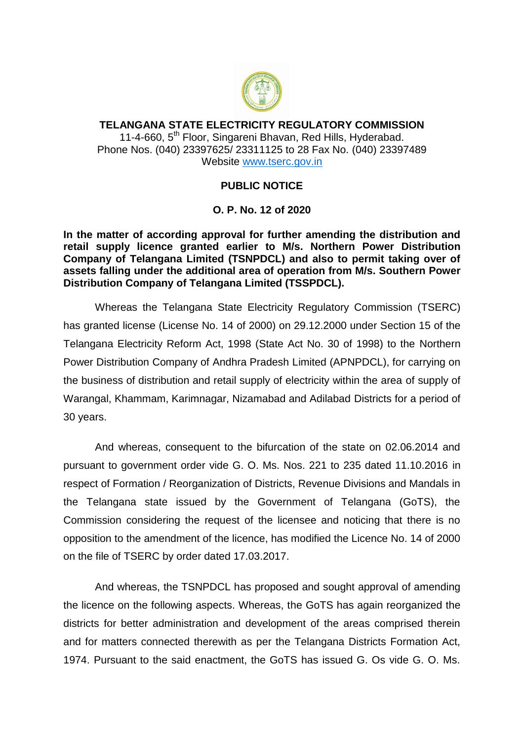

## **TELANGANA STATE ELECTRICITY REGULATORY COMMISSION** 11-4-660, 5<sup>th</sup> Floor, Singareni Bhavan, Red Hills, Hyderabad. Phone Nos. (040) 23397625/ 23311125 to 28 Fax No. (040) 23397489 Website [www.tserc.gov.in](http://www.tserc.gov.in/)

## **PUBLIC NOTICE**

**O. P. No. 12 of 2020**

**In the matter of according approval for further amending the distribution and retail supply licence granted earlier to M/s. Northern Power Distribution Company of Telangana Limited (TSNPDCL) and also to permit taking over of assets falling under the additional area of operation from M/s. Southern Power Distribution Company of Telangana Limited (TSSPDCL).**

Whereas the Telangana State Electricity Regulatory Commission (TSERC) has granted license (License No. 14 of 2000) on 29.12.2000 under Section 15 of the Telangana Electricity Reform Act, 1998 (State Act No. 30 of 1998) to the Northern Power Distribution Company of Andhra Pradesh Limited (APNPDCL), for carrying on the business of distribution and retail supply of electricity within the area of supply of Warangal, Khammam, Karimnagar, Nizamabad and Adilabad Districts for a period of 30 years.

And whereas, consequent to the bifurcation of the state on 02.06.2014 and pursuant to government order vide G. O. Ms. Nos. 221 to 235 dated 11.10.2016 in respect of Formation / Reorganization of Districts, Revenue Divisions and Mandals in the Telangana state issued by the Government of Telangana (GoTS), the Commission considering the request of the licensee and noticing that there is no opposition to the amendment of the licence, has modified the Licence No. 14 of 2000 on the file of TSERC by order dated 17.03.2017.

And whereas, the TSNPDCL has proposed and sought approval of amending the licence on the following aspects. Whereas, the GoTS has again reorganized the districts for better administration and development of the areas comprised therein and for matters connected therewith as per the Telangana Districts Formation Act, 1974. Pursuant to the said enactment, the GoTS has issued G. Os vide G. O. Ms.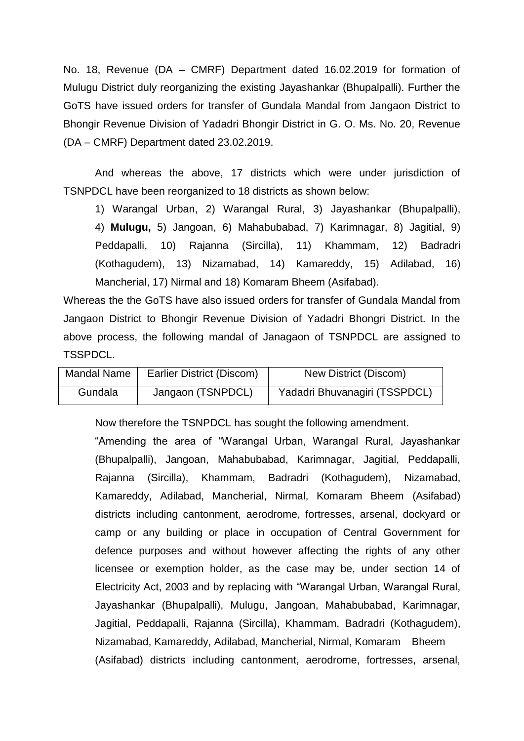No. 18, Revenue (DA – CMRF) Department dated 16.02.2019 for formation of Mulugu District duly reorganizing the existing Jayashankar (Bhupalpalli). Further the GoTS have issued orders for transfer of Gundala Mandal from Jangaon District to Bhongir Revenue Division of Yadadri Bhongir District in G. O. Ms. No. 20, Revenue (DA – CMRF) Department dated 23.02.2019.

And whereas the above, 17 districts which were under jurisdiction of TSNPDCL have been reorganized to 18 districts as shown below:

1) Warangal Urban, 2) Warangal Rural, 3) Jayashankar (Bhupalpalli), 4) **Mulugu,** 5) Jangoan, 6) Mahabubabad, 7) Karimnagar, 8) Jagitial, 9) Peddapalli, 10) Rajanna (Sircilla), 11) Khammam, 12) Badradri (Kothagudem), 13) Nizamabad, 14) Kamareddy, 15) Adilabad, 16) Mancherial, 17) Nirmal and 18) Komaram Bheem (Asifabad).

Whereas the the GoTS have also issued orders for transfer of Gundala Mandal from Jangaon District to Bhongir Revenue Division of Yadadri Bhongri District. In the above process, the following mandal of Janagaon of TSNPDCL are assigned to TSSPDCL.

| Mandal Name | Earlier District (Discom) | New District (Discom)         |
|-------------|---------------------------|-------------------------------|
| Gundala     | Jangaon (TSNPDCL)         | Yadadri Bhuvanagiri (TSSPDCL) |

Now therefore the TSNPDCL has sought the following amendment.

"Amending the area of "Warangal Urban, Warangal Rural, Jayashankar (Bhupalpalli), Jangoan, Mahabubabad, Karimnagar, Jagitial, Peddapalli, Rajanna (Sircilla), Khammam, Badradri (Kothagudem), Nizamabad, Kamareddy, Adilabad, Mancherial, Nirmal, Komaram Bheem (Asifabad) districts including cantonment, aerodrome, fortresses, arsenal, dockyard or camp or any building or place in occupation of Central Government for defence purposes and without however affecting the rights of any other licensee or exemption holder, as the case may be, under section 14 of Electricity Act, 2003 and by replacing with "Warangal Urban, Warangal Rural, Jayashankar (Bhupalpalli), Mulugu, Jangoan, Mahabubabad, Karimnagar, Jagitial, Peddapalli, Rajanna (Sircilla), Khammam, Badradri (Kothagudem), Nizamabad, Kamareddy, Adilabad, Mancherial, Nirmal, Komaram Bheem (Asifabad) districts including cantonment, aerodrome, fortresses, arsenal,